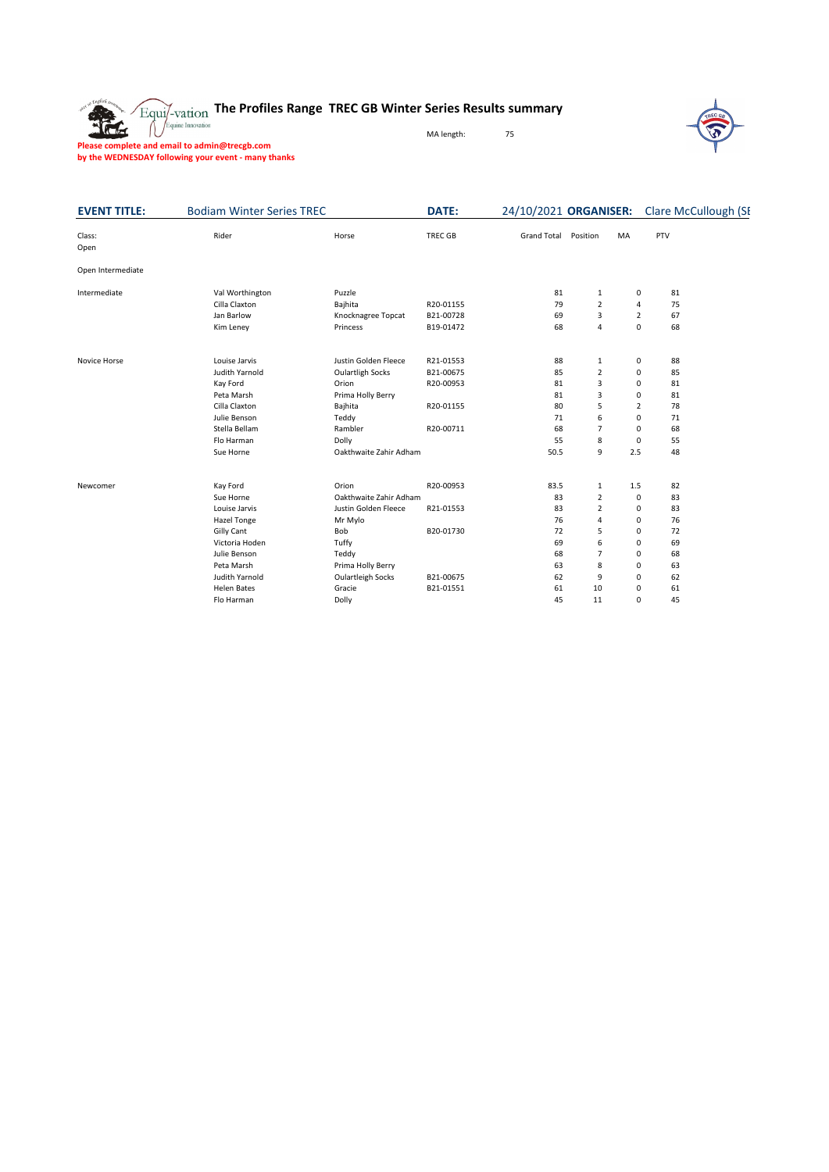

## **The Profiles Range TREC GB Winter Series Results summary**

MA length: 75



**Please complete and email to admin@trecgb.com by the WEDNESDAY following your event - many thanks**

| <b>EVENT TITLE:</b> | <b>Bodiam Winter Series TREC</b> |                          | <b>DATE:</b> | 24/10/2021 ORGANISER: |                |                | <b>Clare McCullough (SI</b> |
|---------------------|----------------------------------|--------------------------|--------------|-----------------------|----------------|----------------|-----------------------------|
| Class:<br>Open      | Rider                            | Horse                    | TREC GB      | <b>Grand Total</b>    | Position       | MA             | PTV                         |
| Open Intermediate   |                                  |                          |              |                       |                |                |                             |
| Intermediate        | Val Worthington                  | Puzzle                   |              | 81                    | 1              | 0              | 81                          |
|                     | Cilla Claxton                    | Bajhita                  | R20-01155    | 79                    | $\overline{2}$ | 4              | 75                          |
|                     | Jan Barlow                       | Knocknagree Topcat       | B21-00728    | 69                    | 3              | $\overline{2}$ | 67                          |
|                     | Kim Leney                        | Princess                 | B19-01472    | 68                    | 4              | 0              | 68                          |
| Novice Horse        | Louise Jarvis                    | Justin Golden Fleece     | R21-01553    | 88                    | 1              | 0              | 88                          |
|                     | Judith Yarnold                   | <b>Oulartligh Socks</b>  | B21-00675    | 85                    | $\overline{2}$ | 0              | 85                          |
|                     | Kay Ford                         | Orion                    | R20-00953    | 81                    | 3              | 0              | 81                          |
|                     | Peta Marsh                       | Prima Holly Berry        |              | 81                    | 3              | 0              | 81                          |
|                     | Cilla Claxton                    | Bajhita                  | R20-01155    | 80                    | 5              | 2              | 78                          |
|                     | Julie Benson                     | Teddy                    |              | 71                    | 6              | 0              | 71                          |
|                     | Stella Bellam                    | Rambler                  | R20-00711    | 68                    | $\overline{7}$ | 0              | 68                          |
|                     | Flo Harman                       | Dolly                    |              | 55                    | 8              | 0              | 55                          |
|                     | Sue Horne                        | Oakthwaite Zahir Adham   |              | 50.5                  | 9              | 2.5            | 48                          |
| Newcomer            | Kay Ford                         | Orion                    | R20-00953    | 83.5                  | $\mathbf 1$    | 1.5            | 82                          |
|                     | Sue Horne                        | Oakthwaite Zahir Adham   |              | 83                    | $\overline{2}$ | 0              | 83                          |
|                     | Louise Jarvis                    | Justin Golden Fleece     | R21-01553    | 83                    | $\overline{2}$ | 0              | 83                          |
|                     | Hazel Tonge                      | Mr Mylo                  |              | 76                    | 4              | 0              | 76                          |
|                     | <b>Gilly Cant</b>                | Bob                      | B20-01730    | 72                    | 5              | 0              | 72                          |
|                     | Victoria Hoden                   | Tuffy                    |              | 69                    | 6              | 0              | 69                          |
|                     | Julie Benson                     | Teddy                    |              | 68                    | $\overline{7}$ | 0              | 68                          |
|                     | Peta Marsh                       | Prima Holly Berry        |              | 63                    | 8              | 0              | 63                          |
|                     | Judith Yarnold                   | <b>Oulartleigh Socks</b> | B21-00675    | 62                    | 9              | 0              | 62                          |
|                     | <b>Helen Bates</b>               | Gracie                   | B21-01551    | 61                    | 10             | 0              | 61                          |
|                     | Flo Harman                       | Dolly                    |              | 45                    | 11             | 0              | 45                          |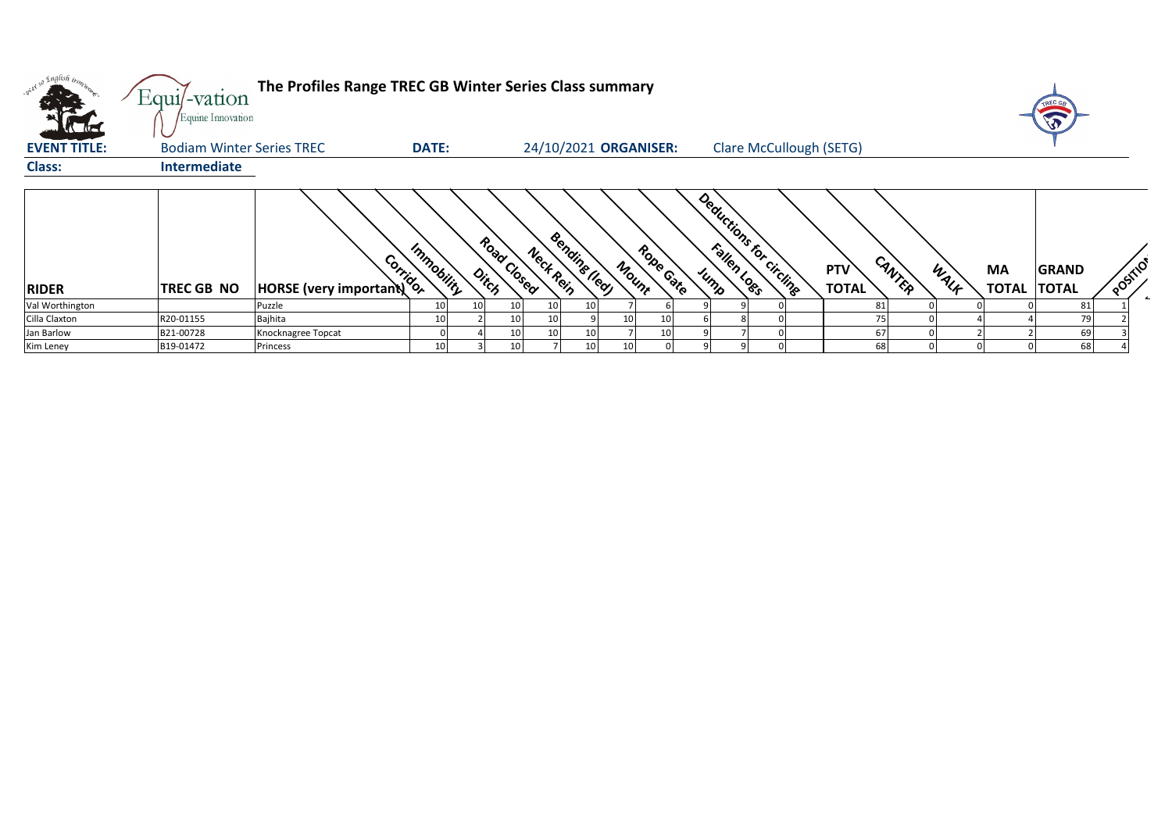|                     | Equi/-vation<br>Equine Innovation | The Profiles Range TREC GB Winter Series Class summary |                 |    |                      |                 |                       |       |           |  |                         |                            |        |      |                                 | TREC GB      |         |
|---------------------|-----------------------------------|--------------------------------------------------------|-----------------|----|----------------------|-----------------|-----------------------|-------|-----------|--|-------------------------|----------------------------|--------|------|---------------------------------|--------------|---------|
| <b>EVENT TITLE:</b> | <b>Bodiam Winter Series TREC</b>  |                                                        | <b>DATE:</b>    |    |                      |                 | 24/10/2021 ORGANISER: |       |           |  | Clare McCullough (SETG) |                            |        |      |                                 |              |         |
| <b>Class:</b>       | Intermediate                      |                                                        |                 |    |                      |                 |                       |       |           |  |                         |                            |        |      |                                 |              |         |
| <b>RIDER</b>        | <b>TREC GB NO</b>                 | Corridor<br><b>HORSE</b> (very important)              | Immobility      |    | Road Closed<br>Ditch | Neck Rein       | <b>Bending (led)</b>  | Mount | Robe Gate |  | Deductions for circline | <b>PTV</b><br><b>TOTAL</b> | CANTER | WALK | <b>MA</b><br><b>TOTAL TOTAL</b> | <b>GRAND</b> | POSITIO |
| Val Worthington     |                                   | Puzzle                                                 | 10              | 10 | 10 <sup>1</sup>      | 10 <sub>l</sub> | 10                    |       |           |  |                         |                            | 81     |      |                                 | 81           |         |
| Cilla Claxton       | R20-01155                         | Bajhita                                                | 10              |    | 10 <sub>1</sub>      | 10 <sub>l</sub> |                       | 10    | 10        |  |                         |                            |        |      |                                 |              |         |
| Jan Barlow          | B21-00728                         | Knocknagree Topcat                                     |                 |    | 10                   | 10 <sup>1</sup> | 10                    |       | 10        |  |                         |                            | 67     |      |                                 | 69           |         |
| Kim Leney           | B19-01472                         | Princess                                               | 10 <sup>1</sup> |    | 10                   |                 | 10                    | 10    |           |  |                         |                            | 68     |      |                                 | 68           |         |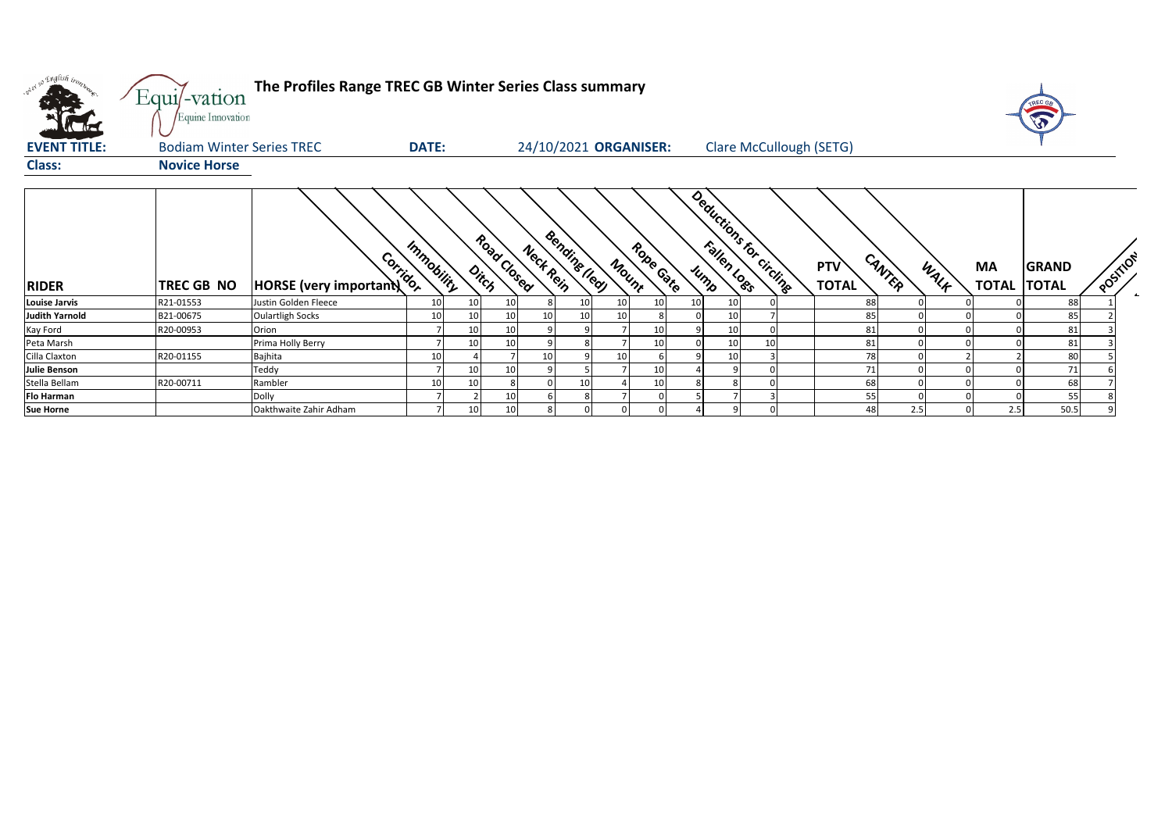| wer so English inon   | Equi/-vation<br>Equine Innovation | The Profiles Range TREC GB Winter Series Class summary |              |       |             |                       |                              |           |                         |    |                                      |      |                          | TREC GE      |          |  |
|-----------------------|-----------------------------------|--------------------------------------------------------|--------------|-------|-------------|-----------------------|------------------------------|-----------|-------------------------|----|--------------------------------------|------|--------------------------|--------------|----------|--|
| <b>EVENT TITLE:</b>   | <b>Bodiam Winter Series TREC</b>  |                                                        | <b>DATE:</b> |       |             | 24/10/2021 ORGANISER: |                              |           |                         |    | <b>Clare McCullough (SETG)</b>       |      |                          |              |          |  |
| <b>Class:</b>         | <b>Novice Horse</b>               |                                                        |              |       |             |                       |                              |           |                         |    |                                      |      |                          |              |          |  |
| <b>RIDER</b>          | TREC GB NO                        | Corrigor<br>HORSE (very important)                     | Immobility   | Ditch | Road Closed | Neck Rein             | <b>Bendits Ileg</b><br>Mount | Robe Cate | Deductions for circling |    | CANTER<br><b>PTV</b><br><b>TOTAL</b> | WALK | MA<br><b>TOTAL TOTAL</b> | <b>GRAND</b> | POSTILON |  |
| <b>Louise Jarvis</b>  | R21-01553                         | Justin Golden Fleece                                   | 10           | 10    | 10          |                       |                              |           |                         |    | 88                                   |      |                          | 88           |          |  |
| <b>Judith Yarnold</b> | B21-00675                         | <b>Oulartligh Socks</b>                                | 10           | 10    | 10          | 10                    |                              |           |                         |    | 85                                   |      |                          | 85           |          |  |
| Kay Ford              | R20-00953                         | Orion                                                  |              | 10    | 10          |                       |                              | 10        |                         |    | 81                                   |      |                          | 81           |          |  |
| Peta Marsh            |                                   | Prima Holly Berry                                      |              | 10    | 10          |                       |                              | 10        | 10                      | 10 | 81                                   |      |                          | 81           |          |  |
| Cilla Claxton         | R20-01155                         | Bajhita                                                | 10           |       |             | 10                    | 10                           |           |                         |    | 78                                   |      |                          | 80           |          |  |
| <b>Julie Benson</b>   |                                   | Teddy                                                  |              | 10    | 10          |                       |                              | 10        |                         |    | 71                                   |      |                          | 71           |          |  |
| Stella Bellam         | R20-00711                         | Rambler                                                | 10           | 10    |             |                       |                              | 10        |                         |    | 68                                   |      |                          | 68           |          |  |
| <b>Flo Harman</b>     |                                   | Dolly                                                  |              |       | 10          |                       |                              |           |                         |    | 55                                   |      |                          | 55           |          |  |
| <b>Sue Horne</b>      |                                   | Oakthwaite Zahir Adham                                 |              | 10    | 10          |                       |                              |           |                         |    | 48                                   | 2.5  | 2.5                      | 50.5         |          |  |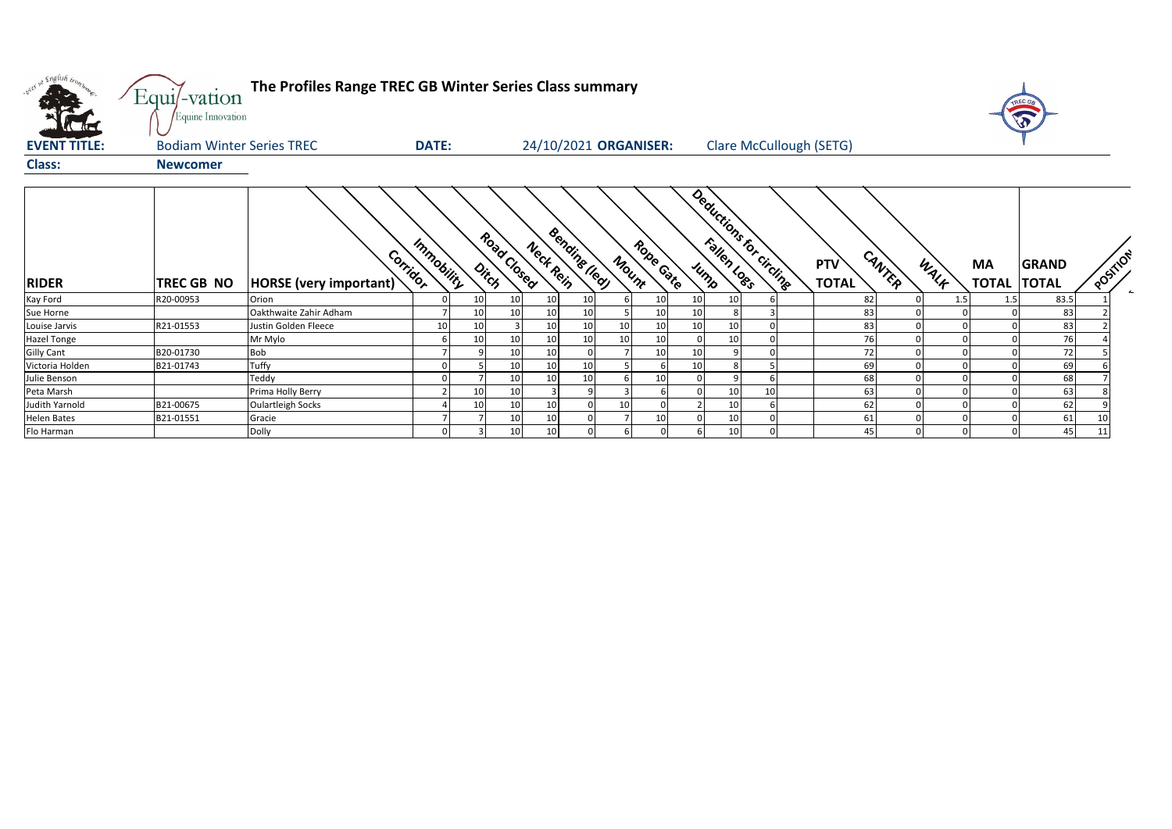| what so English trong | Equi/-vation<br>Equine Innovation | The Profiles Range TREC GB Winter Series Class summary |              |                 |                      |           |                      |              |                       |          |                          |    |                                |        |      |                                 |              |          |
|-----------------------|-----------------------------------|--------------------------------------------------------|--------------|-----------------|----------------------|-----------|----------------------|--------------|-----------------------|----------|--------------------------|----|--------------------------------|--------|------|---------------------------------|--------------|----------|
| <b>EVENT TITLE:</b>   | <b>Bodiam Winter Series TREC</b>  |                                                        | <b>DATE:</b> |                 |                      |           |                      |              | 24/10/2021 ORGANISER: |          |                          |    | <b>Clare McCullough (SETG)</b> |        |      |                                 |              |          |
| <b>Class:</b>         | <b>Newcomer</b>                   |                                                        |              |                 |                      |           |                      |              |                       |          |                          |    |                                |        |      |                                 |              |          |
| <b>RIDER</b>          | TREC GB NO                        | Corridor<br><b>HORSE</b> (very important)              | Immobility   |                 | Road Closed<br>Ditch | Neck Rein | <b>Bending (led)</b> | Mount        | Robe Gate             |          | Deductions for circuites |    | <b>PTV</b><br><b>TOTAL</b>     | CANTER | WALK | <b>MA</b><br><b>TOTAL TOTAL</b> | <b>GRAND</b> | POSTILOF |
| Kay Ford              | R20-00953                         | Orion                                                  |              | 10 <sup>1</sup> | 10                   | 10        | 10                   | $\mathsf{f}$ | 10 <sub>1</sub>       | 10       | 10                       |    |                                | 82     | 1.5  | 1.5                             | 83.5         |          |
| Sue Horne             |                                   | Oakthwaite Zahir Adham                                 |              | 10              | 10                   | 10        | 10                   |              | 10                    | 10       |                          |    |                                | 83     |      |                                 | 83           |          |
| Louise Jarvis         | R21-01553                         | Justin Golden Fleece                                   | 10           | 10 <sup>1</sup> |                      | 10        | 10                   | 10           | 10                    | 10       | 10                       |    |                                | 83     |      |                                 | 83           |          |
| <b>Hazel Tonge</b>    |                                   | Mr Mylo                                                |              | 10 <sup>1</sup> | 10                   | 10        | 10                   | 10           | 10 <sup>1</sup>       | $\Omega$ | 10                       |    |                                | 76     |      |                                 | 76           |          |
| <b>Gilly Cant</b>     | B20-01730                         | Bob                                                    |              |                 | 10                   | 10        | $\Omega$             |              | 10 <sup>1</sup>       | 10       |                          |    |                                | 72     |      |                                 | 72           |          |
| Victoria Holden       | B21-01743                         | Tuffy                                                  |              |                 | 10                   | 10        | 10                   |              |                       | 10       |                          |    |                                | 69     |      |                                 | 69           |          |
| Julie Benson          |                                   | Teddy                                                  |              |                 | 10                   | 10        | 10                   | 6            | 10                    |          |                          |    |                                | 68     |      |                                 | 68           |          |
| Peta Marsh            |                                   | Prima Holly Berry                                      |              | 10              | 10                   | 3         | q                    |              |                       |          | 10                       | 10 |                                | 63     |      |                                 | 63           |          |
| Judith Yarnold        | B21-00675                         | <b>Oulartleigh Socks</b>                               |              | 10              | 10                   | 10        |                      | 10           |                       |          | 10                       |    |                                | 62     |      |                                 | 62           |          |
| <b>Helen Bates</b>    | B21-01551                         | Gracie                                                 |              |                 | 10                   | 10        |                      |              | 10                    |          | 10                       |    |                                | 61     |      |                                 | 61           | 10       |
| Flo Harman            |                                   | Dolly                                                  | n            |                 | 10                   | 10        | $\Omega$             | 6            |                       |          | 10                       |    |                                | 45     |      |                                 | 45           | 11       |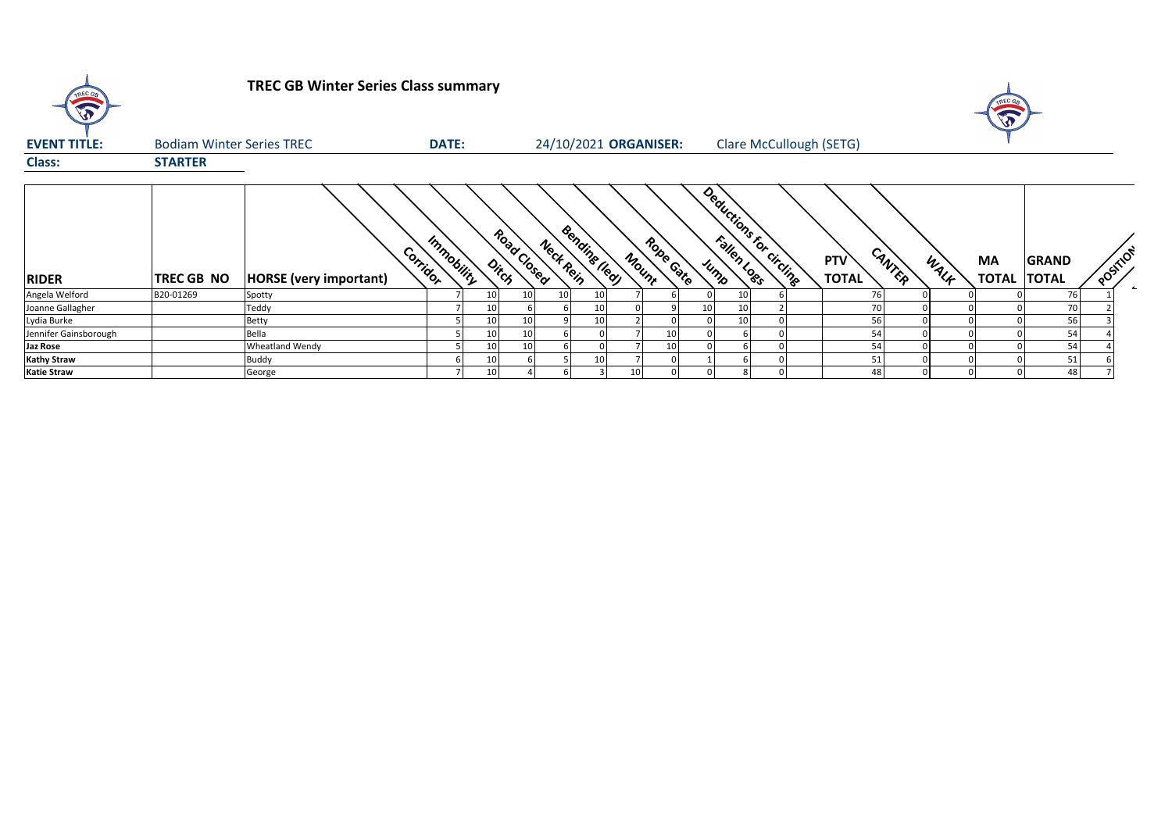| TREC GB               |                                  | <b>TREC GB Winter Series Class summary</b> |              |                      |                 |                            |       |           | $\mathbf{v}$ |    |                                |                                      |      |                          |              |          |
|-----------------------|----------------------------------|--------------------------------------------|--------------|----------------------|-----------------|----------------------------|-------|-----------|--------------|----|--------------------------------|--------------------------------------|------|--------------------------|--------------|----------|
| <b>EVENT TITLE:</b>   | <b>Bodiam Winter Series TREC</b> |                                            | <b>DATE:</b> |                      |                 | 24/10/2021 ORGANISER:      |       |           |              |    | <b>Clare McCullough (SETG)</b> |                                      |      |                          |              |          |
| <b>Class:</b>         | <b>STARTER</b>                   |                                            |              |                      |                 |                            |       |           |              |    |                                |                                      |      |                          |              |          |
| <b>RIDER</b>          | TREC GB NO                       | Corrigor<br><b>HORSE</b> (very important)  | Immobility   | Road Closed<br>Ditch |                 | Bending Iledy<br>Nect Rein | Mount | Robe Gate |              |    | Deductions for circlingen      | CANTER<br><b>PTV</b><br><b>TOTAL</b> | WALF | MA<br><b>TOTAL TOTAL</b> | <b>GRAND</b> | POSITION |
| Angela Welford        | B20-01269                        | Spotty                                     |              |                      | 10 <sup>1</sup> | 10<br>10                   |       |           |              | 10 |                                | 76                                   |      |                          | 76           |          |
| Joanne Gallagher      |                                  | Teddy                                      |              |                      |                 | 10                         |       |           | 10           | 10 |                                | 70                                   |      |                          | 70           |          |
| Lydia Burke           |                                  | Betty                                      |              |                      |                 | 10                         |       |           |              | 10 |                                | 56                                   |      |                          | 56           |          |
| Jennifer Gainsborough |                                  | Bella                                      |              |                      | 10 <sup>1</sup> |                            |       | 10        |              |    |                                | 54                                   |      |                          | 54           |          |
| Jaz Rose              |                                  | <b>Wheatland Wendy</b>                     |              |                      | 10 <sup>1</sup> |                            |       | 10        |              |    |                                | 54                                   |      |                          | 54           |          |
| <b>Kathy Straw</b>    |                                  | Buddy                                      |              |                      |                 | 10                         |       |           |              |    |                                | 51                                   |      |                          | 51           |          |
| <b>Katie Straw</b>    |                                  | George                                     |              |                      |                 |                            | 10    |           |              |    |                                | 48                                   |      |                          | 48           |          |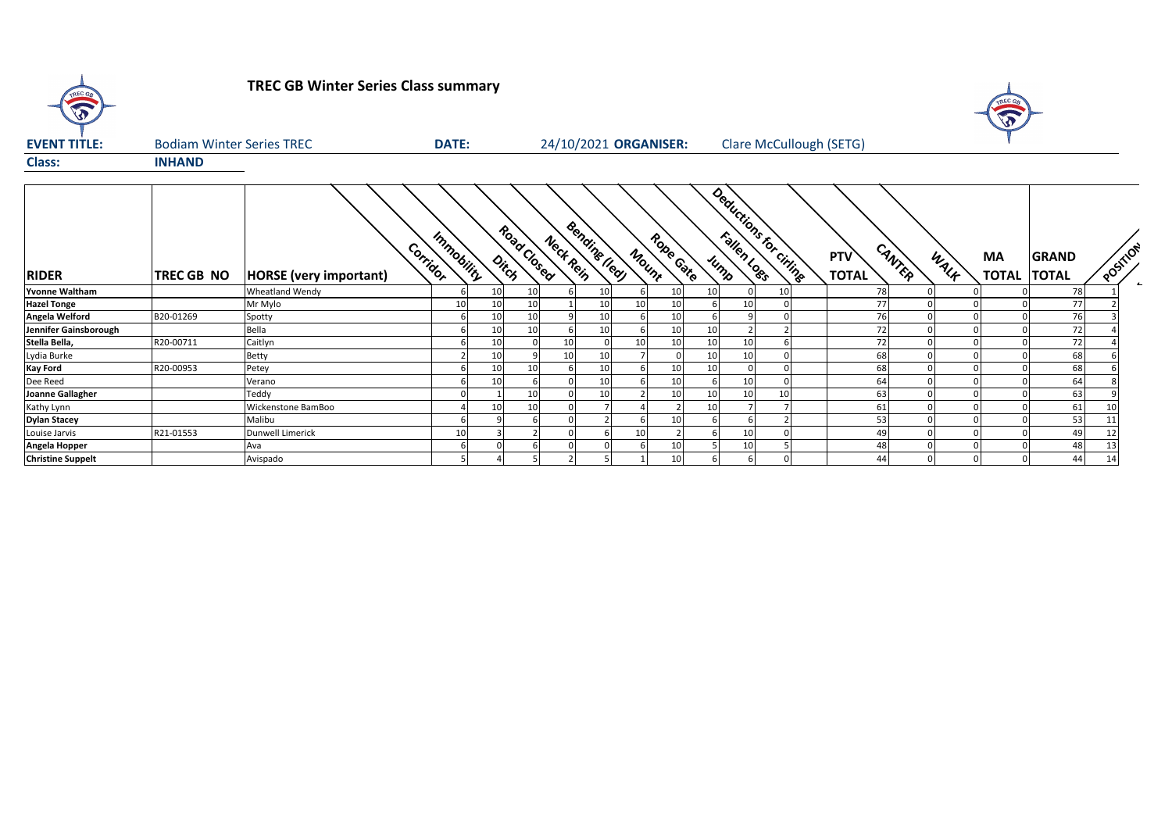| TREC GA<br>$\mathbf{\hat{v}}$ |                                  | <b>TREC GB Winter Series Class summary</b><br>TREC G |                 |    |                      |           |                |                       |                  |      |                                |  |                            |                |                          |              |          |  |
|-------------------------------|----------------------------------|------------------------------------------------------|-----------------|----|----------------------|-----------|----------------|-----------------------|------------------|------|--------------------------------|--|----------------------------|----------------|--------------------------|--------------|----------|--|
| <b>EVENT TITLE:</b>           | <b>Bodiam Winter Series TREC</b> |                                                      | <b>DATE:</b>    |    |                      |           |                | 24/10/2021 ORGANISER: |                  |      | <b>Clare McCullough (SETG)</b> |  |                            |                |                          |              |          |  |
| <b>Class:</b>                 | <b>INHAND</b>                    |                                                      |                 |    |                      |           |                |                       |                  |      |                                |  |                            |                |                          |              |          |  |
| <b>RIDER</b>                  | TREC GB NO                       | Corridor<br><b>HORSE</b> (very important)            | Immobility      |    | Road Clased<br>Ditch | Neck Rein | Bending (leaf) | Mount                 | <b>Rope Gate</b> | Jump | Deductions for citing          |  | <b>PTV</b><br><b>TOTAL</b> | CANTER<br>WALK | МA<br><b>TOTAL TOTAL</b> | <b>GRAND</b> | POSITION |  |
| Yvonne Waltham                |                                  | <b>Wheatland Wendy</b>                               |                 | 10 | 10                   |           | 10             |                       | 10               | 10   | 10                             |  | 78                         |                |                          | 78           |          |  |
| <b>Hazel Tonge</b>            |                                  | Mr Mylo                                              | 10 <sup>1</sup> | 10 | 10                   |           | 10             | 10 <sup>1</sup>       | 10               |      | 10                             |  | 77                         |                |                          | 77           |          |  |
| Angela Welford                | B20-01269                        | Spotty                                               |                 | 10 | 10                   |           | 10             |                       | 10               |      | q                              |  | 76                         |                |                          | 76           |          |  |
| Jennifer Gainsborough         |                                  | Bella                                                |                 | 10 | 10                   |           | 10             |                       | 10               | 10   |                                |  | 72                         |                |                          | 72           |          |  |
| Stella Bella,                 | R20-00711                        | Caitlyn                                              |                 | 10 |                      | 10        |                | 10 <sup>1</sup>       | 10               | 10   | 10                             |  | 72                         |                |                          | 72           |          |  |
| Lydia Burke                   |                                  | Betty                                                |                 | 10 |                      | 10        | 10             |                       |                  | 10   | 10                             |  | 68                         |                |                          | 68           |          |  |
| Kay Ford                      | R20-00953                        | Petey                                                |                 | 10 | 10                   |           | 10             |                       | 10               | 10   |                                |  | 68                         |                |                          | 68           |          |  |
| Dee Reed                      |                                  | Verano                                               |                 | 10 |                      |           | 10             |                       | 10               |      | 10<br>$\Omega$                 |  | 64                         |                |                          | 64           |          |  |
| Joanne Gallagher              |                                  | Teddy                                                |                 |    | 10                   |           | 10             |                       |                  | 10   | 10<br>10                       |  | 63                         |                |                          | 63           |          |  |
| Kathy Lynn                    |                                  | <b>Wickenstone BamBoo</b>                            |                 |    | 10                   |           |                |                       |                  | 10   |                                |  | 61                         |                |                          | 61           |          |  |
| <b>Dylan Stacey</b>           |                                  | Malibu                                               |                 |    |                      |           |                |                       |                  |      |                                |  | 53                         |                |                          | 53           | 11       |  |
| Louise Jarvis                 | R21-01553                        | Dunwell Limerick                                     | 10              |    |                      |           |                | 10                    |                  |      | 10                             |  | 49                         |                |                          | 49           | 12       |  |
| Angela Hopper                 |                                  | Ava                                                  |                 |    |                      |           |                |                       |                  |      | 10                             |  | 48                         |                |                          | 48           | 13       |  |
| <b>Christine Suppelt</b>      |                                  | Avispado                                             |                 |    |                      |           |                |                       | 10               |      | 6                              |  | 44                         |                |                          | 44           | 14       |  |